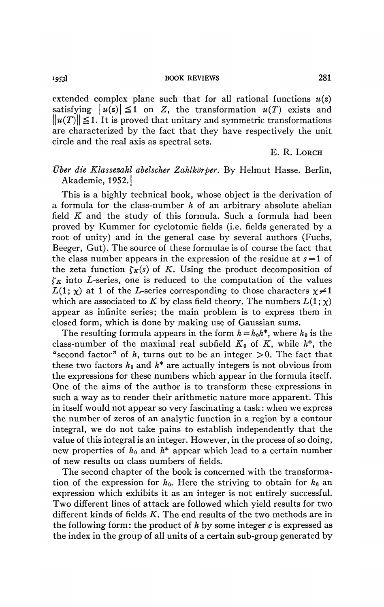**'9531 BOOK REVIEWS** 281

extended complex plane such that for all rational functions  $u(z)$ satisfying  $|u(z)| \leq 1$  on Z, the transformation  $u(T)$  exists and  $||u(T)|| \leq 1$ . It is proved that unitary and symmetric transformations are characterized by the fact that they have respectively the unit circle and the real axis as spectral sets.

E. R. LORCH

## *Über die Klassezahl abelscher Zahlkörper.* By Helmut Hasse. Berlin, Akademie, 1952. j

This is a highly technical book, whose object is the derivation of a formula for the class-number  $h$  of an arbitrary absolute abelian field *K* and the study of this formula. Such a formula had been proved by Kummer for cyclotomic fields (i.e. fields generated by a root of unity) and in the general case by several authors (Fuchs, Beeger, Gut). The source of these formulae is of course the fact that the class number appears in the expression of the residue at *s =* 1 of the zeta function  $\zeta_K(s)$  of K. Using the product decomposition of  $\zeta_K$  into *L*-series, one is reduced to the computation of the values  $L(1; \chi)$  at 1 of the L-series corresponding to those characters  $\chi \neq 1$ which are associated to K by class field theory. The numbers  $L(1; \chi)$ appear as infinite series; the main problem is to express them in closed form, which is done by making use of Gaussian sums.

The resulting formula appears in the form  $h = h_0h^*$ , where  $h_0$  is the class-number of the maximal real subfield  $K_0$  of  $K$ , while  $h^*$ , the "second factor" of h, turns out to be an integer  $>0$ . The fact that these two factors  $h_0$  and  $h^*$  are actually integers is not obvious from the expressions for these numbers which appear in the formula itself. One of the aims of the author is to transform these expressions in such a way as to render their arithmetic nature more apparent. This in itself would not appear so very fascinating a task : when we express the number of zeros of an analytic function in a region by a contour integral, we do not take pains to establish independently that the value of this integral is an integer. However, in the process of so doing, new properties of  $h_0$  and  $h^*$  appear which lead to a certain number of new results on class numbers of fields.

The second chapter of the book is concerned with the transformation of the expression for  $h_0$ . Here the striving to obtain for  $h_0$  an expression which exhibits it as an integer is not entirely successful. Two different lines of attack are followed which yield results for two different kinds of fields *K.* The end results of the two methods are in the following form: the product of  $h$  by some integer  $c$  is expressed as the index in the group of all units of a certain sub-group generated by